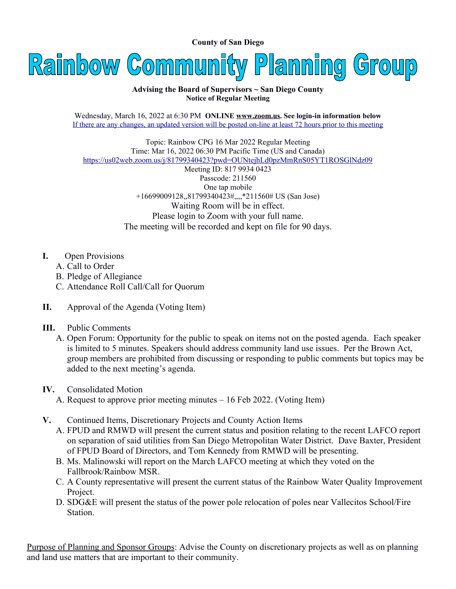**County of San Diego** 



## **Advising the Board of Supervisors ~ San Diego County Notice of Regular Meeting**

Wednesday, March 16, 2022 at 6:30 PM **ONLINE [www.zoom.us](http://www.zoom.us/). See login-in information below** If there are any changes, an updated version will be posted on-line at least 72 hours prior to this meeting

Topic: Rainbow CPG 16 Mar 2022 Regular Meeting Time: Mar 16, 2022 06:30 PM Pacific Time (US and Canada) <https://us02web.zoom.us/j/81799340423?pwd=OUNtejhLd0pzMmRnS05YT1ROSGlNdz09>

Meeting ID: 817 9934 0423 Passcode: 211560 One tap mobile +16699009128,,81799340423#,,,,\*211560# US (San Jose) Waiting Room will be in effect. Please login to Zoom with your full name. The meeting will be recorded and kept on file for 90 days.

- **I.** Open Provisions
	- A. Call to Order
	- B. Pledge of Allegiance
	- C. Attendance Roll Call/Call for Quorum
- **II.** Approval of the Agenda (Voting Item)
- **III.** Public Comments
	- A. Open Forum: Opportunity for the public to speak on items not on the posted agenda. Each speaker is limited to 5 minutes. Speakers should address community land use issues. Per the Brown Act, group members are prohibited from discussing or responding to public comments but topics may be added to the next meeting's agenda.

## **IV.** Consolidated Motion

- A. Request to approve prior meeting minutes 16 Feb 2022. (Voting Item)
- **V.** Continued Items, Discretionary Projects and County Action Items
	- A. FPUD and RMWD will present the current status and position relating to the recent LAFCO report on separation of said utilities from San Diego Metropolitan Water District. Dave Baxter, President of FPUD Board of Directors, and Tom Kennedy from RMWD will be presenting.
	- B. Ms. Malinowski will report on the March LAFCO meeting at which they voted on the Fallbrook/Rainbow MSR.
	- C. A County representative will present the current status of the Rainbow Water Quality Improvement Project.
	- D. SDG&E will present the status of the power pole relocation of poles near Vallecitos School/Fire Station.

Purpose of Planning and Sponsor Groups: Advise the County on discretionary projects as well as on planning and land use matters that are important to their community.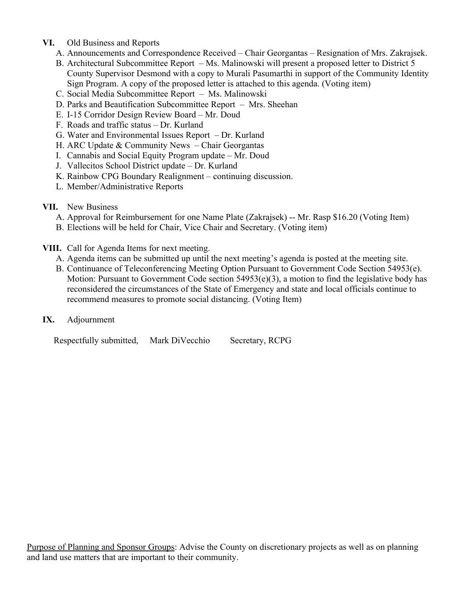- **VI.** Old Business and Reports
	- A. Announcements and Correspondence Received Chair Georgantas Resignation of Mrs. Zakrajsek.
	- B. Architectural Subcommittee Report Ms. Malinowski will present a proposed letter to District 5 County Supervisor Desmond with a copy to Murali Pasumarthi in support of the Community Identity Sign Program. A copy of the proposed letter is attached to this agenda. (Voting item)
	- C. Social Media Subcommittee Report Ms. Malinowski
	- D. Parks and Beautification Subcommittee Report Mrs. Sheehan
	- E. I-15 Corridor Design Review Board Mr. Doud
	- F. Roads and traffic status Dr. Kurland
	- G. Water and Environmental Issues Report Dr. Kurland
	- H. ARC Update & Community News Chair Georgantas
	- I. Cannabis and Social Equity Program update Mr. Doud
	- J. Vallecitos School District update Dr. Kurland
	- K. Rainbow CPG Boundary Realignment continuing discussion.
	- L. Member/Administrative Reports
- **VII.** New Business
	- A. Approval for Reimbursement for one Name Plate (Zakrajsek) -- Mr. Rasp \$16.20 (Voting Item)
	- B. Elections will be held for Chair, Vice Chair and Secretary. (Voting item)
- **VIII.** Call for Agenda Items for next meeting.
	- A. Agenda items can be submitted up until the next meeting's agenda is posted at the meeting site.
	- B. Continuance of Teleconferencing Meeting Option Pursuant to Government Code Section 54953(e). Motion: Pursuant to Government Code section 54953(e)(3), a motion to find the legislative body has reconsidered the circumstances of the State of Emergency and state and local officials continue to recommend measures to promote social distancing. (Voting Item)
- **IX.** Adjournment

Respectfully submitted, Mark DiVecchio Secretary, RCPG